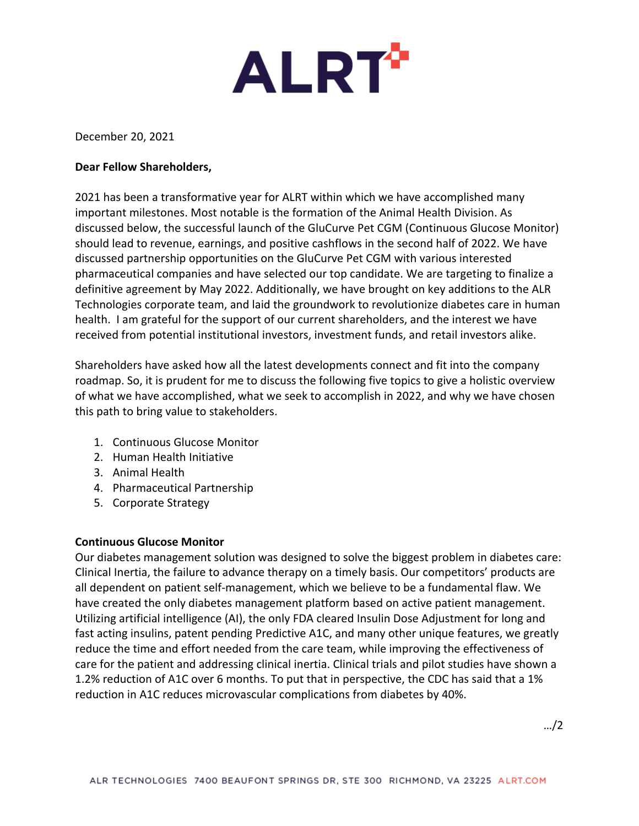

December 20, 2021

## **Dear Fellow Shareholders,**

2021 has been a transformative year for ALRT within which we have accomplished many important milestones. Most notable is the formation of the Animal Health Division. As discussed below, the successful launch of the GluCurve Pet CGM (Continuous Glucose Monitor) should lead to revenue, earnings, and positive cashflows in the second half of 2022. We have discussed partnership opportunities on the GluCurve Pet CGM with various interested pharmaceutical companies and have selected our top candidate. We are targeting to finalize a definitive agreement by May 2022. Additionally, we have brought on key additions to the ALR Technologies corporate team, and laid the groundwork to revolutionize diabetes care in human health. I am grateful for the support of our current shareholders, and the interest we have received from potential institutional investors, investment funds, and retail investors alike.

Shareholders have asked how all the latest developments connect and fit into the company roadmap. So, it is prudent for me to discuss the following five topics to give a holistic overview of what we have accomplished, what we seek to accomplish in 2022, and why we have chosen this path to bring value to stakeholders.

- 1. Continuous Glucose Monitor
- 2. Human Health Initiative
- 3. Animal Health
- 4. Pharmaceutical Partnership
- 5. Corporate Strategy

# **Continuous Glucose Monitor**

Our diabetes management solution was designed to solve the biggest problem in diabetes care: Clinical Inertia, the failure to advance therapy on a timely basis. Our competitors' products are all dependent on patient self-management, which we believe to be a fundamental flaw. We have created the only diabetes management platform based on active patient management. Utilizing artificial intelligence (AI), the only FDA cleared Insulin Dose Adjustment for long and fast acting insulins, patent pending Predictive A1C, and many other unique features, we greatly reduce the time and effort needed from the care team, while improving the effectiveness of care for the patient and addressing clinical inertia. Clinical trials and pilot studies have shown a 1.2% reduction of A1C over 6 months. To put that in perspective, the CDC has said that a 1% reduction in A1C reduces microvascular complications from diabetes by 40%.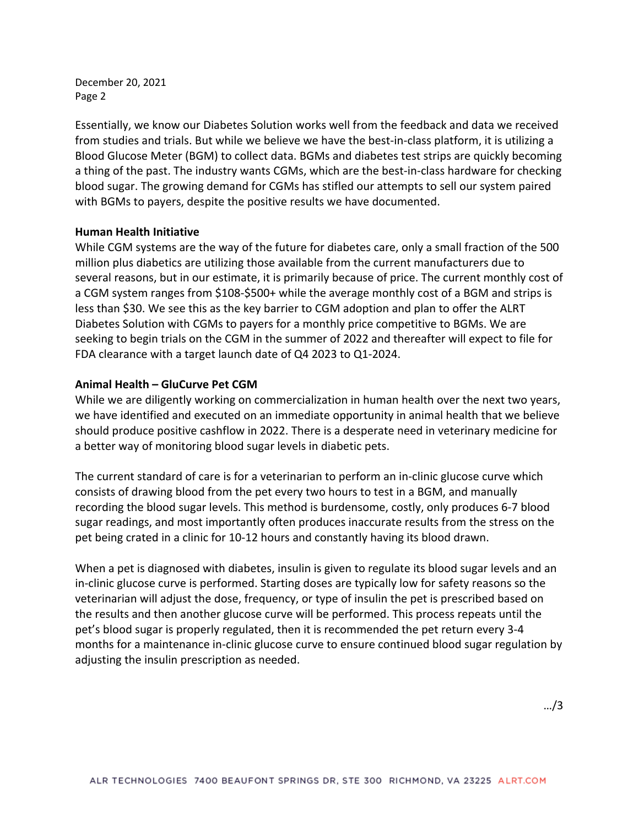December 20, 2021 Page 2

Essentially, we know our Diabetes Solution works well from the feedback and data we received from studies and trials. But while we believe we have the best-in-class platform, it is utilizing a Blood Glucose Meter (BGM) to collect data. BGMs and diabetes test strips are quickly becoming a thing of the past. The industry wants CGMs, which are the best-in-class hardware for checking blood sugar. The growing demand for CGMs has stifled our attempts to sell our system paired with BGMs to payers, despite the positive results we have documented.

### **Human Health Initiative**

While CGM systems are the way of the future for diabetes care, only a small fraction of the 500 million plus diabetics are utilizing those available from the current manufacturers due to several reasons, but in our estimate, it is primarily because of price. The current monthly cost of a CGM system ranges from \$108-\$500+ while the average monthly cost of a BGM and strips is less than \$30. We see this as the key barrier to CGM adoption and plan to offer the ALRT Diabetes Solution with CGMs to payers for a monthly price competitive to BGMs. We are seeking to begin trials on the CGM in the summer of 2022 and thereafter will expect to file for FDA clearance with a target launch date of Q4 2023 to Q1-2024.

## **Animal Health – GluCurve Pet CGM**

While we are diligently working on commercialization in human health over the next two years, we have identified and executed on an immediate opportunity in animal health that we believe should produce positive cashflow in 2022. There is a desperate need in veterinary medicine for a better way of monitoring blood sugar levels in diabetic pets.

The current standard of care is for a veterinarian to perform an in-clinic glucose curve which consists of drawing blood from the pet every two hours to test in a BGM, and manually recording the blood sugar levels. This method is burdensome, costly, only produces 6-7 blood sugar readings, and most importantly often produces inaccurate results from the stress on the pet being crated in a clinic for 10-12 hours and constantly having its blood drawn.

When a pet is diagnosed with diabetes, insulin is given to regulate its blood sugar levels and an in-clinic glucose curve is performed. Starting doses are typically low for safety reasons so the veterinarian will adjust the dose, frequency, or type of insulin the pet is prescribed based on the results and then another glucose curve will be performed. This process repeats until the pet's blood sugar is properly regulated, then it is recommended the pet return every 3-4 months for a maintenance in-clinic glucose curve to ensure continued blood sugar regulation by adjusting the insulin prescription as needed.

…/3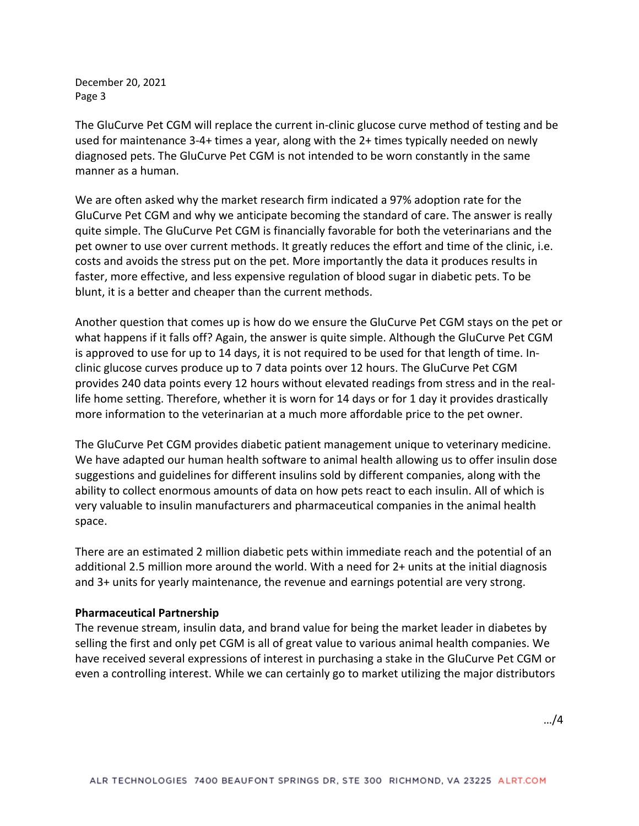December 20, 2021 Page 3

The GluCurve Pet CGM will replace the current in-clinic glucose curve method of testing and be used for maintenance 3-4+ times a year, along with the 2+ times typically needed on newly diagnosed pets. The GluCurve Pet CGM is not intended to be worn constantly in the same manner as a human.

We are often asked why the market research firm indicated a 97% adoption rate for the GluCurve Pet CGM and why we anticipate becoming the standard of care. The answer is really quite simple. The GluCurve Pet CGM is financially favorable for both the veterinarians and the pet owner to use over current methods. It greatly reduces the effort and time of the clinic, i.e. costs and avoids the stress put on the pet. More importantly the data it produces results in faster, more effective, and less expensive regulation of blood sugar in diabetic pets. To be blunt, it is a better and cheaper than the current methods.

Another question that comes up is how do we ensure the GluCurve Pet CGM stays on the pet or what happens if it falls off? Again, the answer is quite simple. Although the GluCurve Pet CGM is approved to use for up to 14 days, it is not required to be used for that length of time. Inclinic glucose curves produce up to 7 data points over 12 hours. The GluCurve Pet CGM provides 240 data points every 12 hours without elevated readings from stress and in the reallife home setting. Therefore, whether it is worn for 14 days or for 1 day it provides drastically more information to the veterinarian at a much more affordable price to the pet owner.

The GluCurve Pet CGM provides diabetic patient management unique to veterinary medicine. We have adapted our human health software to animal health allowing us to offer insulin dose suggestions and guidelines for different insulins sold by different companies, along with the ability to collect enormous amounts of data on how pets react to each insulin. All of which is very valuable to insulin manufacturers and pharmaceutical companies in the animal health space.

There are an estimated 2 million diabetic pets within immediate reach and the potential of an additional 2.5 million more around the world. With a need for 2+ units at the initial diagnosis and 3+ units for yearly maintenance, the revenue and earnings potential are very strong.

### **Pharmaceutical Partnership**

The revenue stream, insulin data, and brand value for being the market leader in diabetes by selling the first and only pet CGM is all of great value to various animal health companies. We have received several expressions of interest in purchasing a stake in the GluCurve Pet CGM or even a controlling interest. While we can certainly go to market utilizing the major distributors

…/4